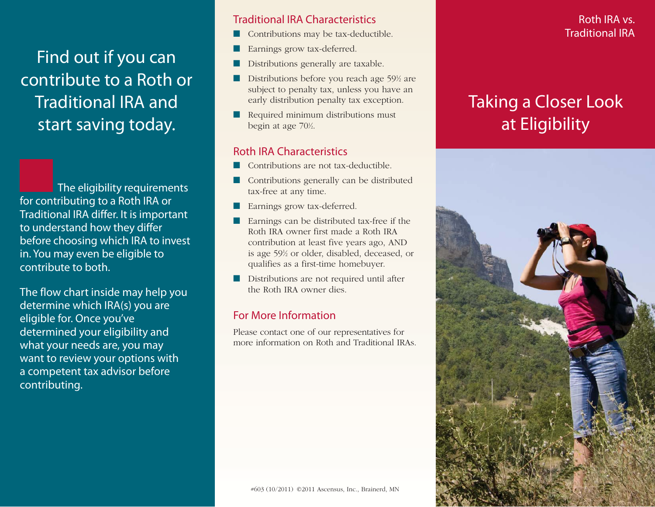Find out if you can contribute to a Roth or Traditional IRA and start saving today.

The eligibility requirements for contributing to a Roth IRA or Traditional IRA differ. It is important to understand how they differ before choosing which IRA to invest in. You may even be eligible to contribute to both.

The flow chart inside may help you determine which IRA(s) you are eligible for. Once you've determined your eligibility and what your needs are, you may want to review your options with a competent tax advisor before contributing.

#### Traditional IRA Characteristics

- Contributions may be tax-deductible.
- Earnings grow tax-deferred.
- Distributions generally are taxable.
- Distributions before you reach age 59<sup>1</sup>/<sub>2</sub> are subject to penalty tax, unless you have an early distribution penalty tax exception.
- Required minimum distributions must begin at age 70<sup>1/2</sup>.

### Roth IRA Characteristics

- Contributions are not tax-deductible.
- Contributions generally can be distributed tax-free at any time.
- Earnings grow tax-deferred.
- Earnings can be distributed tax-free if the Roth IRA owner first made a Roth IRA contribution at least five years ago, AND is age 591 ⁄2 or older, disabled, deceased, or qualifies as a first-time homebuyer.
- Distributions are not required until after the Roth IRA owner dies.

#### For More Information

Please contact one of our representatives for more information on Roth and Traditional IRAs.

### Roth IRA vs. Traditional IRA

# Taking a Closer Look at Eligibility